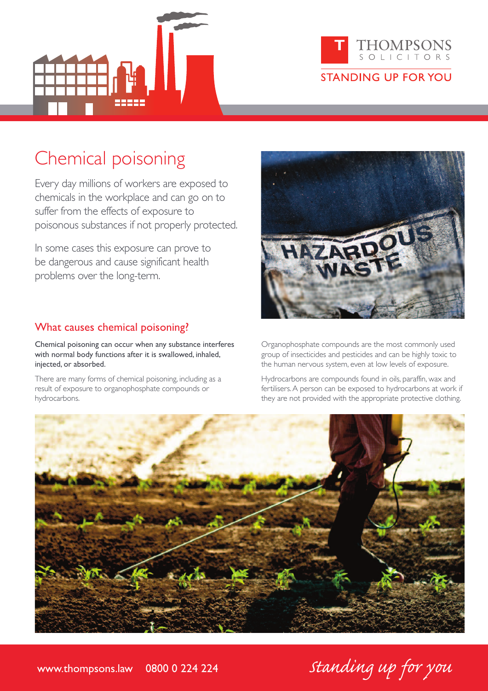



# Chemical poisoning

Every day millions of workers are exposed to chemicals in the workplace and can go on to suffer from the effects of exposure to poisonous substances if not properly protected.

In some cases this exposure can prove to be dangerous and cause significant health problems over the long-term.

### What causes chemical poisoning?

Chemical poisoning can occur when any substance interferes with normal body functions after it is swallowed, inhaled, injected, or absorbed.

There are many forms of chemical poisoning, including as a result of exposure to organophosphate compounds or hydrocarbons.



Organophosphate compounds are the most commonly used group of insecticides and pesticides and can be highly toxic to the human nervous system, even at low levels of exposure.

Hydrocarbons are compounds found in oils, paraffin, wax and fertilisers.A person can be exposed to hydrocarbons at work if they are not provided with the appropriate protective clothing.



www.thompsons.law 0800 0 224 224 Standing up for you